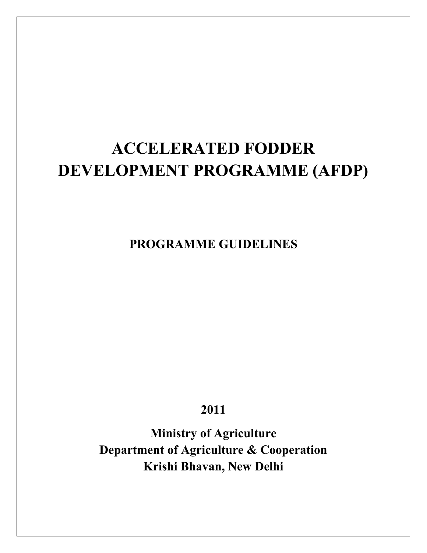# **ACCELERATED FODDER DEVELOPMENT PROGRAMME (AFDP)**

**PROGRAMME GUIDELINES**

**2011**

**Ministry of Agriculture Department of Agriculture & Cooperation Krishi Bhavan, New Delhi**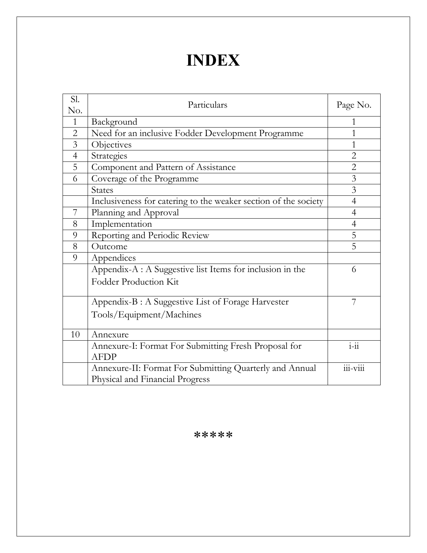# **INDEX**

| Sl.<br>No.     | Particulars                                                     | Page No.         |
|----------------|-----------------------------------------------------------------|------------------|
| $\mathbf{1}$   | Background                                                      | 1                |
| $\overline{2}$ | Need for an inclusive Fodder Development Programme              | 1                |
| 3              | Objectives                                                      | 1                |
| $\overline{4}$ | Strategies                                                      | $\overline{2}$   |
| 5              | Component and Pattern of Assistance                             | $\overline{2}$   |
| 6              | Coverage of the Programme                                       | 3                |
|                | <b>States</b>                                                   | $\overline{3}$   |
|                | Inclusiveness for catering to the weaker section of the society | 4                |
| 7              | Planning and Approval                                           | $\overline{4}$   |
| 8              | Implementation                                                  | 4                |
| 9              | Reporting and Periodic Review                                   | 5                |
| 8              | Outcome                                                         | 5                |
| 9              | Appendices                                                      |                  |
|                | Appendix-A : A Suggestive list Items for inclusion in the       | 6                |
|                | <b>Fodder Production Kit</b>                                    |                  |
|                | Appendix-B : A Suggestive List of Forage Harvester              | 7                |
|                | Tools/Equipment/Machines                                        |                  |
| 10             | Annexure                                                        |                  |
|                | Annexure-I: Format For Submitting Fresh Proposal for            | $\frac{1}{1-11}$ |
|                | <b>AFDP</b>                                                     |                  |
|                | Annexure-II: Format For Submitting Quarterly and Annual         | 111-V111         |
|                | Physical and Financial Progress                                 |                  |

\*\*\*\*\*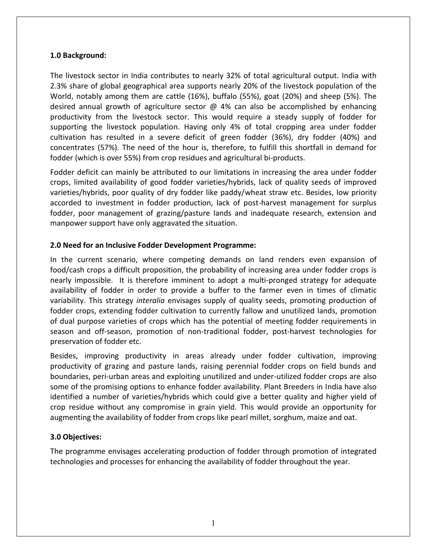#### **1.0 Background:**

The livestock sector in India contributes to nearly 32% of total agricultural output. India with 2.3% share of global geographical area supports nearly 20% of the livestock population of the World, notably among them are cattle (16%), buffalo (55%), goat (20%) and sheep (5%). The desired annual growth of agriculture sector  $\omega$  4% can also be accomplished by enhancing productivity from the livestock sector. This would require a steady supply of fodder for supporting the livestock population. Having only 4% of total cropping area under fodder cultivation has resulted in a severe deficit of green fodder (36%), dry fodder (40%) and concentrates (57%). The need of the hour is, therefore, to fulfill this shortfall in demand for fodder (which is over 55%) from crop residues and agricultural bi-products.

Fodder deficit can mainly be attributed to our limitations in increasing the area under fodder crops, limited availability of good fodder varieties/hybrids, lack of quality seeds of improved varieties/hybrids, poor quality of dry fodder like paddy/wheat straw etc. Besides, low priority accorded to investment in fodder production, lack of post-harvest management for surplus fodder, poor management of grazing/pasture lands and inadequate research, extension and manpower support have only aggravated the situation.

#### **2.0 Need for an Inclusive Fodder Development Programme:**

In the current scenario, where competing demands on land renders even expansion of food/cash crops a difficult proposition, the probability of increasing area under fodder crops is nearly impossible. It is therefore imminent to adopt a multi-pronged strategy for adequate availability of fodder in order to provide a buffer to the farmer even in times of climatic variability. This strategy *interalia* envisages supply of quality seeds, promoting production of fodder crops, extending fodder cultivation to currently fallow and unutilized lands, promotion of dual purpose varieties of crops which has the potential of meeting fodder requirements in season and off-season, promotion of non-traditional fodder, post-harvest technologies for preservation of fodder etc.

Besides, improving productivity in areas already under fodder cultivation, improving productivity of grazing and pasture lands, raising perennial fodder crops on field bunds and boundaries, peri-urban areas and exploiting unutilized and under-utilized fodder crops are also some of the promising options to enhance fodder availability. Plant Breeders in India have also identified a number of varieties/hybrids which could give a better quality and higher yield of crop residue without any compromise in grain yield. This would provide an opportunity for augmenting the availability of fodder from crops like pearl millet, sorghum, maize and oat.

#### **3.0 Objectives:**

The programme envisages accelerating production of fodder through promotion of integrated technologies and processes for enhancing the availability of fodder throughout the year.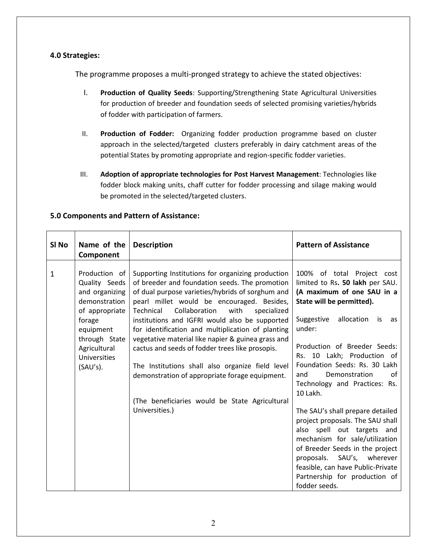#### **4.0 Strategies:**

The programme proposes a multi-pronged strategy to achieve the stated objectives:

- I. **Production of Quality Seeds**: Supporting/Strengthening State Agricultural Universities for production of breeder and foundation seeds of selected promising varieties/hybrids of fodder with participation of farmers.
- II. **Production of Fodder:** Organizing fodder production programme based on cluster approach in the selected/targeted clusters preferably in dairy catchment areas of the potential States by promoting appropriate and region-specific fodder varieties.
- III. **Adoption of appropriate technologies for Post Harvest Management**: Technologies like fodder block making units, chaff cutter for fodder processing and silage making would be promoted in the selected/targeted clusters.

| SI <sub>No</sub> | Name of the<br>Component                                                                                                                                                   | <b>Description</b>                                                                                                                                                                                                                                                                                                                                                                                                                                                                                                                                                                                                                                   | <b>Pattern of Assistance</b>                                                                                                                                                                                                                                                                                                                                                                                                                                                                                                                                                                                                                         |
|------------------|----------------------------------------------------------------------------------------------------------------------------------------------------------------------------|------------------------------------------------------------------------------------------------------------------------------------------------------------------------------------------------------------------------------------------------------------------------------------------------------------------------------------------------------------------------------------------------------------------------------------------------------------------------------------------------------------------------------------------------------------------------------------------------------------------------------------------------------|------------------------------------------------------------------------------------------------------------------------------------------------------------------------------------------------------------------------------------------------------------------------------------------------------------------------------------------------------------------------------------------------------------------------------------------------------------------------------------------------------------------------------------------------------------------------------------------------------------------------------------------------------|
| 1                | Production of<br>Quality Seeds<br>and organizing<br>demonstration<br>of appropriate<br>forage<br>equipment<br>through State<br>Agricultural<br>Universities<br>$(SAU's)$ . | Supporting Institutions for organizing production<br>of breeder and foundation seeds. The promotion<br>of dual purpose varieties/hybrids of sorghum and<br>pearl millet would be encouraged. Besides,<br>Collaboration<br>with<br>Technical<br>specialized<br>institutions and IGFRI would also be supported<br>for identification and multiplication of planting<br>vegetative material like napier & guinea grass and<br>cactus and seeds of fodder trees like prosopis.<br>The Institutions shall also organize field level<br>demonstration of appropriate forage equipment.<br>(The beneficiaries would be State Agricultural<br>Universities.) | 100% of total Project cost<br>limited to Rs. 50 lakh per SAU.<br>(A maximum of one SAU in a<br>State will be permitted).<br>Suggestive<br>allocation<br>is<br>as<br>under:<br>Production of Breeder Seeds:<br>Rs. 10 Lakh; Production of<br>Foundation Seeds: Rs. 30 Lakh<br>Demonstration<br>of<br>and<br>Technology and Practices: Rs.<br>10 Lakh.<br>The SAU's shall prepare detailed<br>project proposals. The SAU shall<br>also spell out targets and<br>mechanism for sale/utilization<br>of Breeder Seeds in the project<br>proposals. SAU's, wherever<br>feasible, can have Public-Private<br>Partnership for production of<br>fodder seeds. |

#### **5.0 Components and Pattern of Assistance:**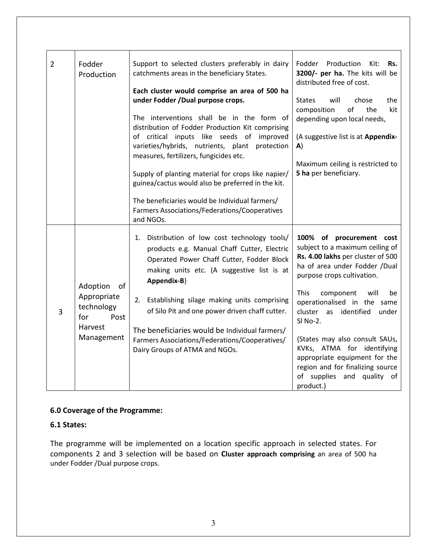| $\overline{2}$ | Fodder<br>Production                     | Support to selected clusters preferably in dairy<br>catchments areas in the beneficiary States.                                                                                            | Fodder<br>Production<br>Kit:<br>Rs.<br>3200/- per ha. The kits will be<br>distributed free of cost.                                                             |
|----------------|------------------------------------------|--------------------------------------------------------------------------------------------------------------------------------------------------------------------------------------------|-----------------------------------------------------------------------------------------------------------------------------------------------------------------|
|                |                                          | Each cluster would comprise an area of 500 ha                                                                                                                                              |                                                                                                                                                                 |
|                |                                          | under Fodder /Dual purpose crops.                                                                                                                                                          | chose<br><b>States</b><br>will<br>the                                                                                                                           |
|                |                                          | The interventions shall be in the form of<br>distribution of Fodder Production Kit comprising                                                                                              | $\mathsf{of}$<br>the<br>kit<br>composition<br>depending upon local needs,                                                                                       |
|                |                                          | of critical inputs like seeds of<br>improved<br>varieties/hybrids, nutrients, plant<br>protection                                                                                          | (A suggestive list is at Appendix-<br>A)                                                                                                                        |
|                |                                          | measures, fertilizers, fungicides etc.                                                                                                                                                     |                                                                                                                                                                 |
|                |                                          | Supply of planting material for crops like napier/                                                                                                                                         | Maximum ceiling is restricted to<br>5 ha per beneficiary.                                                                                                       |
|                |                                          | guinea/cactus would also be preferred in the kit.                                                                                                                                          |                                                                                                                                                                 |
|                |                                          | The beneficiaries would be Individual farmers/                                                                                                                                             |                                                                                                                                                                 |
|                |                                          | Farmers Associations/Federations/Cooperatives                                                                                                                                              |                                                                                                                                                                 |
|                |                                          | and NGOs.                                                                                                                                                                                  |                                                                                                                                                                 |
|                |                                          | Distribution of low cost technology tools/<br>1.<br>products e.g. Manual Chaff Cutter, Electric<br>Operated Power Chaff Cutter, Fodder Block<br>making units etc. (A suggestive list is at | 100% of procurement cost<br>subject to a maximum ceiling of<br>Rs. 4.00 lakhs per cluster of 500<br>ha of area under Fodder /Dual<br>purpose crops cultivation. |
|                | Adoption<br>οf                           | Appendix-B)                                                                                                                                                                                |                                                                                                                                                                 |
| 3              | Appropriate<br>technology<br>for<br>Post | Establishing silage making units comprising<br>2.<br>of Silo Pit and one power driven chaff cutter.                                                                                        | <b>This</b><br>component<br>will<br>be<br>operationalised in the same<br>identified<br>cluster<br>as<br>under<br>SI No-2.                                       |
|                | Harvest                                  | The beneficiaries would be Individual farmers/                                                                                                                                             |                                                                                                                                                                 |
|                | Management                               | Farmers Associations/Federations/Cooperatives/<br>Dairy Groups of ATMA and NGOs.                                                                                                           | (States may also consult SAUs,<br>KVKs, ATMA for identifying                                                                                                    |
|                |                                          |                                                                                                                                                                                            | appropriate equipment for the                                                                                                                                   |
|                |                                          |                                                                                                                                                                                            | region and for finalizing source                                                                                                                                |
|                |                                          |                                                                                                                                                                                            | of supplies and quality<br>of<br>product.)                                                                                                                      |
|                |                                          |                                                                                                                                                                                            |                                                                                                                                                                 |

#### **6.0 Coverage of the Programme:**

#### **6.1 States:**

The programme will be implemented on a location specific approach in selected states. For components 2 and 3 selection will be based on **Cluster approach comprising** an area of 500 ha under Fodder /Dual purpose crops.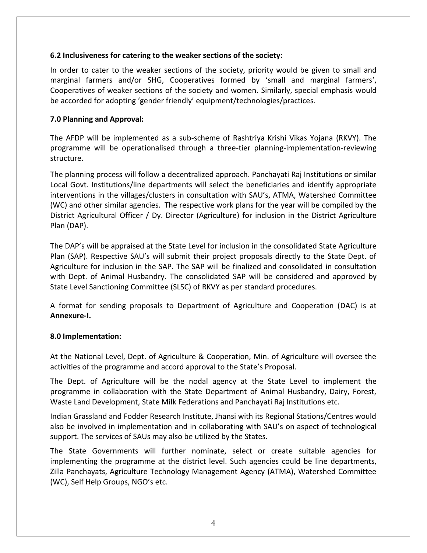#### **6.2 Inclusiveness for catering to the weaker sections of the society:**

In order to cater to the weaker sections of the society, priority would be given to small and marginal farmers and/or SHG, Cooperatives formed by 'small and marginal farmers', Cooperatives of weaker sections of the society and women. Similarly, special emphasis would be accorded for adopting 'gender friendly' equipment/technologies/practices.

#### **7.0 Planning and Approval:**

The AFDP will be implemented as a sub-scheme of Rashtriya Krishi Vikas Yojana (RKVY). The programme will be operationalised through a three-tier planning-implementation-reviewing structure.

The planning process will follow a decentralized approach. Panchayati Raj Institutions or similar Local Govt. Institutions/line departments will select the beneficiaries and identify appropriate interventions in the villages/clusters in consultation with SAU's, ATMA, Watershed Committee (WC) and other similar agencies. The respective work plans for the year will be compiled by the District Agricultural Officer / Dy. Director (Agriculture) for inclusion in the District Agriculture Plan (DAP).

The DAP's will be appraised at the State Level for inclusion in the consolidated State Agriculture Plan (SAP). Respective SAU's will submit their project proposals directly to the State Dept. of Agriculture for inclusion in the SAP. The SAP will be finalized and consolidated in consultation with Dept. of Animal Husbandry. The consolidated SAP will be considered and approved by State Level Sanctioning Committee (SLSC) of RKVY as per standard procedures.

A format for sending proposals to Department of Agriculture and Cooperation (DAC) is at **Annexure-I.** 

#### **8.0 Implementation:**

At the National Level, Dept. of Agriculture & Cooperation, Min. of Agriculture will oversee the activities of the programme and accord approval to the State's Proposal.

The Dept. of Agriculture will be the nodal agency at the State Level to implement the programme in collaboration with the State Department of Animal Husbandry, Dairy, Forest, Waste Land Development, State Milk Federations and Panchayati Raj Institutions etc.

Indian Grassland and Fodder Research Institute, Jhansi with its Regional Stations/Centres would also be involved in implementation and in collaborating with SAU's on aspect of technological support. The services of SAUs may also be utilized by the States.

The State Governments will further nominate, select or create suitable agencies for implementing the programme at the district level. Such agencies could be line departments, Zilla Panchayats, Agriculture Technology Management Agency (ATMA), Watershed Committee (WC), Self Help Groups, NGO's etc.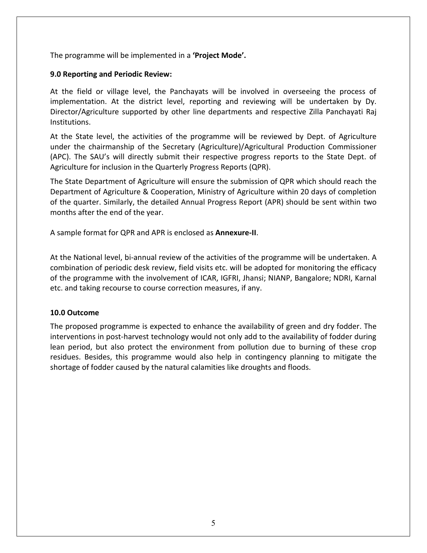The programme will be implemented in a **'Project Mode'.**

#### **9.0 Reporting and Periodic Review:**

At the field or village level, the Panchayats will be involved in overseeing the process of implementation. At the district level, reporting and reviewing will be undertaken by Dy. Director/Agriculture supported by other line departments and respective Zilla Panchayati Raj Institutions.

At the State level, the activities of the programme will be reviewed by Dept. of Agriculture under the chairmanship of the Secretary (Agriculture)/Agricultural Production Commissioner (APC). The SAU's will directly submit their respective progress reports to the State Dept. of Agriculture for inclusion in the Quarterly Progress Reports (QPR).

The State Department of Agriculture will ensure the submission of QPR which should reach the Department of Agriculture & Cooperation, Ministry of Agriculture within 20 days of completion of the quarter. Similarly, the detailed Annual Progress Report (APR) should be sent within two months after the end of the year.

A sample format for QPR and APR is enclosed as **Annexure-II**.

At the National level, bi-annual review of the activities of the programme will be undertaken. A combination of periodic desk review, field visits etc. will be adopted for monitoring the efficacy of the programme with the involvement of ICAR, IGFRI, Jhansi; NIANP, Bangalore; NDRI, Karnal etc. and taking recourse to course correction measures, if any.

#### **10.0 Outcome**

The proposed programme is expected to enhance the availability of green and dry fodder. The interventions in post-harvest technology would not only add to the availability of fodder during lean period, but also protect the environment from pollution due to burning of these crop residues. Besides, this programme would also help in contingency planning to mitigate the shortage of fodder caused by the natural calamities like droughts and floods.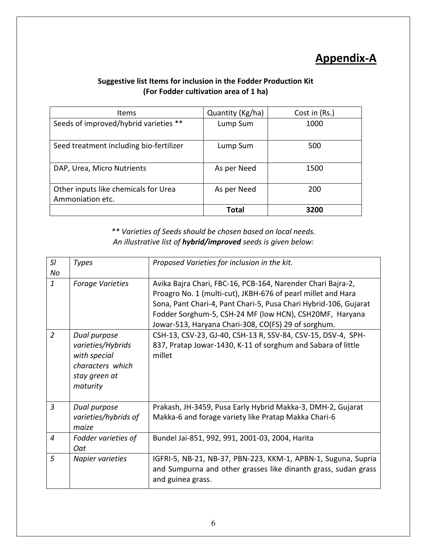### **Appendix-A**

#### **Suggestive list Items for inclusion in the Fodder Production Kit (For Fodder cultivation area of 1 ha)**

| Items                                                    | Quantity (Kg/ha) | Cost in (Rs.) |
|----------------------------------------------------------|------------------|---------------|
| Seeds of improved/hybrid varieties **                    | Lump Sum         | 1000          |
| Seed treatment including bio-fertilizer                  | Lump Sum         | 500           |
| DAP, Urea, Micro Nutrients                               | As per Need      | 1500          |
| Other inputs like chemicals for Urea<br>Ammoniation etc. | As per Need      | 200           |
|                                                          | Total            | 3200          |

*\*\* Varieties of Seeds should be chosen based on local needs. An illustrative list of hybrid/improved seeds is given below:*

| SI<br>No       | <b>Types</b>                                                                                       | Proposed Varieties for inclusion in the kit.                                                                                                                                                                                                                                                                      |
|----------------|----------------------------------------------------------------------------------------------------|-------------------------------------------------------------------------------------------------------------------------------------------------------------------------------------------------------------------------------------------------------------------------------------------------------------------|
| $\mathbf{1}$   | <b>Forage Varieties</b>                                                                            | Avika Bajra Chari, FBC-16, PCB-164, Narender Chari Bajra-2,<br>Proagro No. 1 (multi-cut), JKBH-676 of pearl millet and Hara<br>Sona, Pant Chari-4, Pant Chari-5, Pusa Chari Hybrid-106, Gujarat<br>Fodder Sorghum-5, CSH-24 MF (low HCN), CSH20MF, Haryana<br>Jowar-513, Haryana Chari-308, CO(FS) 29 of sorghum. |
| $\overline{2}$ | Dual purpose<br>varieties/Hybrids<br>with special<br>characters which<br>stay green at<br>maturity | CSH-13, CSV-23, GJ-40, CSH-13 R, SSV-84, CSV-15, DSV-4, SPH-<br>837, Pratap Jowar-1430, K-11 of sorghum and Sabara of little<br>millet                                                                                                                                                                            |
| $\overline{3}$ | Dual purpose<br>varieties/hybrids of<br>maize                                                      | Prakash, JH-3459, Pusa Early Hybrid Makka-3, DMH-2, Gujarat<br>Makka-6 and forage variety like Pratap Makka Chari-6                                                                                                                                                                                               |
| $\overline{4}$ | Fodder varieties of<br><b>Oat</b>                                                                  | Bundel Jai-851, 992, 991, 2001-03, 2004, Harita                                                                                                                                                                                                                                                                   |
| 5              | Napier varieties                                                                                   | IGFRI-5, NB-21, NB-37, PBN-223, KKM-1, APBN-1, Suguna, Supria<br>and Sumpurna and other grasses like dinanth grass, sudan grass<br>and guinea grass.                                                                                                                                                              |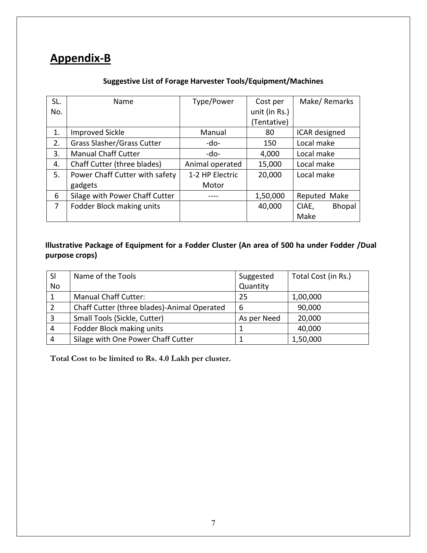### **Appendix-B**

#### **Suggestive List of Forage Harvester Tools/Equipment/Machines**

| SL. | Name                              | Type/Power      | Cost per      | Make/Remarks           |
|-----|-----------------------------------|-----------------|---------------|------------------------|
| No. |                                   |                 | unit (in Rs.) |                        |
|     |                                   |                 | (Tentative)   |                        |
| 1.  | <b>Improved Sickle</b>            | Manual          | 80            | ICAR designed          |
| 2.  | <b>Grass Slasher/Grass Cutter</b> | -do-            | 150           | Local make             |
| 3.  | <b>Manual Chaff Cutter</b>        | $-do-$          | 4,000         | Local make             |
| 4.  | Chaff Cutter (three blades)       | Animal operated | 15,000        | Local make             |
| 5.  | Power Chaff Cutter with safety    | 1-2 HP Electric | 20,000        | Local make             |
|     | gadgets                           | Motor           |               |                        |
| 6   | Silage with Power Chaff Cutter    |                 | 1,50,000      | Reputed Make           |
| 7   | Fodder Block making units         |                 | 40,000        | <b>Bhopal</b><br>CIAE, |
|     |                                   |                 |               | Make                   |

#### **Illustrative Package of Equipment for a Fodder Cluster (An area of 500 ha under Fodder /Dual purpose crops)**

| <b>SI</b> | Name of the Tools                           | Suggested   | Total Cost (in Rs.) |
|-----------|---------------------------------------------|-------------|---------------------|
| No        |                                             | Quantity    |                     |
|           | <b>Manual Chaff Cutter:</b>                 | 25          | 1,00,000            |
|           | Chaff Cutter (three blades)-Animal Operated | 6           | 90,000              |
|           | Small Tools (Sickle, Cutter)                | As per Need | 20,000              |
| 4         | Fodder Block making units                   |             | 40,000              |
|           | Silage with One Power Chaff Cutter          |             | 1,50,000            |

**Total Cost to be limited to Rs. 4.0 Lakh per cluster.**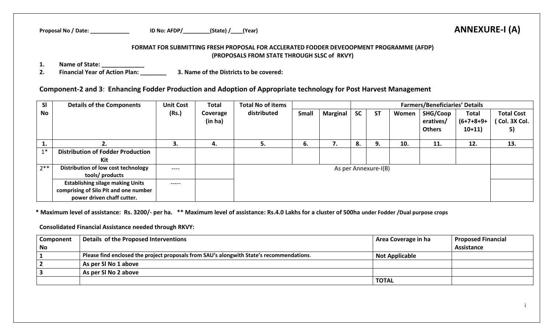| Proposal No,<br>/ Date: | $\lambda$ AFDP/<br>ID No: | (State) | (Year) | <b>ANNEXURE-I (A)</b> |
|-------------------------|---------------------------|---------|--------|-----------------------|
|-------------------------|---------------------------|---------|--------|-----------------------|

#### **FORMAT FOR SUBMITTING FRESH PROPOSAL FOR ACCLERATED FODDER DEVEOOPMENT PROGRAMME (AFDP) (PROPOSALS FROM STATE THROUGH SLSC of RKVY)**

**1. Name of State: \_\_\_\_\_\_\_\_\_\_\_\_\_**

**2. Financial Year of Action Plan: \_\_\_\_\_\_\_\_ 3. Name of the Districts to be covered:** 

### **Component-2 and 3**: **Enhancing Fodder Production and Adoption of Appropriate technology for Post Harvest Management**

| <b>SI</b> | <b>Details of the Components</b>         | <b>Unit Cost</b> | <b>Total</b>        | <b>Total No of items</b> |       |                 |           |                      |       | <b>Farmers/Beneficiaries' Details</b>  |                                          |                                          |
|-----------|------------------------------------------|------------------|---------------------|--------------------------|-------|-----------------|-----------|----------------------|-------|----------------------------------------|------------------------------------------|------------------------------------------|
| No l      |                                          | (Rs.)            | Coverage<br>(in ha) | distributed              | Small | <b>Marginal</b> | <b>SC</b> | <b>ST</b>            | Women | SHG/Coop<br>eratives/<br><b>Others</b> | <b>Total</b><br>$(6+7+8+9+)$<br>$10+11)$ | <b>Total Cost</b><br>(Col. 3X Col.<br>5) |
|           | z.                                       | 3.               | 4.                  | 5.                       | 6.    | 7.              | 8.        | 9.                   | 10.   | 11.                                    | 12.                                      | 13.                                      |
| $1*$      | <b>Distribution of Fodder Production</b> |                  |                     |                          |       |                 |           |                      |       |                                        |                                          |                                          |
|           | Kit                                      |                  |                     |                          |       |                 |           |                      |       |                                        |                                          |                                          |
| $2***$    | Distribution of low cost technology      | ----             |                     |                          |       |                 |           | As per Annexure-I(B) |       |                                        |                                          |                                          |
|           | tools/ products                          |                  |                     |                          |       |                 |           |                      |       |                                        |                                          |                                          |
|           | <b>Establishing silage making Units</b>  | -----            |                     |                          |       |                 |           |                      |       |                                        |                                          |                                          |
|           | comprising of Silo Pit and one number    |                  |                     |                          |       |                 |           |                      |       |                                        |                                          |                                          |
|           | power driven chaff cutter.               |                  |                     |                          |       |                 |           |                      |       |                                        |                                          |                                          |

**\* Maximum level of assistance: Rs. 3200/- per ha. \*\* Maximum level of assistance: Rs.4.0 Lakhs for a cluster of 500ha under Fodder /Dual purpose crops** 

**Consolidated Financial Assistance needed through RKVY:** 

| Component | Details of the Proposed Interventions                                                    | Area Coverage in ha   | <b>Proposed Financial</b> |
|-----------|------------------------------------------------------------------------------------------|-----------------------|---------------------------|
| <b>No</b> |                                                                                          |                       | Assistance                |
|           | Please find enclosed the project proposals from SAU's alongwith State's recommendations. | <b>Not Applicable</b> |                           |
|           | As per SI No 1 above                                                                     |                       |                           |
|           | As per SI No 2 above                                                                     |                       |                           |
|           |                                                                                          | <b>TOTAL</b>          |                           |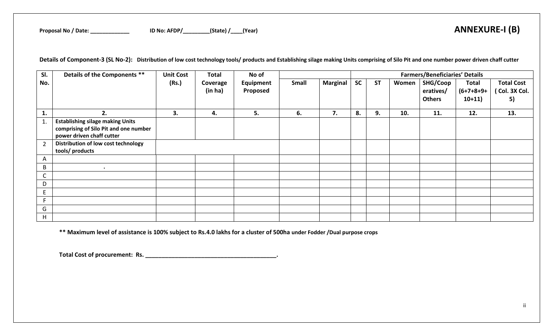**Details of Component-3 (SL No-2): Distribution of low cost technology tools/ products and Establishing silage making Units comprising of Silo Pit and one number power driven chaff cutter**

| SI.            | Details of the Components **            | <b>Unit Cost</b> | <b>Total</b> | No of     | <b>Farmers/Beneficiaries' Details</b> |                 |           |           |       |               |              |                   |
|----------------|-----------------------------------------|------------------|--------------|-----------|---------------------------------------|-----------------|-----------|-----------|-------|---------------|--------------|-------------------|
| No.            |                                         | (Rs.)            | Coverage     | Equipment | Small                                 | <b>Marginal</b> | <b>SC</b> | <b>ST</b> | Women | SHG/Coop      | <b>Total</b> | <b>Total Cost</b> |
|                |                                         |                  | (in ha)      | Proposed  |                                       |                 |           |           |       | eratives/     | $(6+7+8+9+)$ | (Col. 3X Col.     |
|                |                                         |                  |              |           |                                       |                 |           |           |       | <b>Others</b> | $10+11)$     | 5)                |
|                |                                         |                  |              |           |                                       |                 |           |           |       |               |              |                   |
| 1.             | 2.                                      | 3.               | 4.           | 5.        | 6.                                    | 7.              | 8.        | 9.        | 10.   | 11.           | 12.          | 13.               |
| 1.             | <b>Establishing silage making Units</b> |                  |              |           |                                       |                 |           |           |       |               |              |                   |
|                | comprising of Silo Pit and one number   |                  |              |           |                                       |                 |           |           |       |               |              |                   |
|                | power driven chaff cutter               |                  |              |           |                                       |                 |           |           |       |               |              |                   |
| $\overline{2}$ | Distribution of low cost technology     |                  |              |           |                                       |                 |           |           |       |               |              |                   |
|                | tools/ products                         |                  |              |           |                                       |                 |           |           |       |               |              |                   |
| A              |                                         |                  |              |           |                                       |                 |           |           |       |               |              |                   |
| B              | $\bullet$                               |                  |              |           |                                       |                 |           |           |       |               |              |                   |
| $\mathsf{C}$   |                                         |                  |              |           |                                       |                 |           |           |       |               |              |                   |
| D              |                                         |                  |              |           |                                       |                 |           |           |       |               |              |                   |
| E              |                                         |                  |              |           |                                       |                 |           |           |       |               |              |                   |
| F              |                                         |                  |              |           |                                       |                 |           |           |       |               |              |                   |
| G              |                                         |                  |              |           |                                       |                 |           |           |       |               |              |                   |
| H              |                                         |                  |              |           |                                       |                 |           |           |       |               |              |                   |

**\*\* Maximum level of assistance is 100% subject to Rs.4.0 lakhs for a cluster of 500ha under Fodder /Dual purpose crops** 

**Total Cost of procurement: Rs. \_\_\_\_\_\_\_\_\_\_\_\_\_\_\_\_\_\_\_\_\_\_\_\_\_\_\_\_\_\_\_\_\_\_\_\_\_\_\_\_.**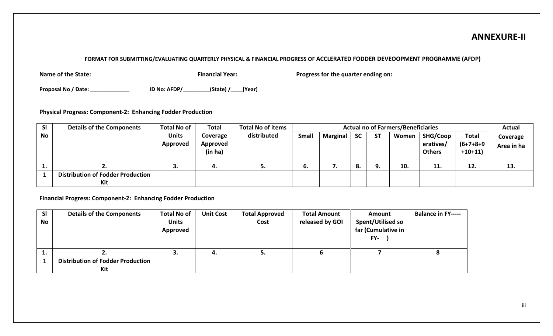### **ANNEXURE-II**

#### **FORMAT FOR SUBMITTING/EVALUATING QUARTERLY PHYSICAL & FINANCIAL PROGRESS OF ACCLERATED FODDER DEVEOOPMENT PROGRAMME (AFDP)**

**Name of the State: Financial Year:** Progress for the quarter ending on: **Progress for the quarter ending on:** 

**Proposal No / Date: \_\_\_\_\_\_\_\_\_\_\_\_\_ ID No: AFDP/\_\_\_\_\_\_\_\_\_(State) /\_\_\_\_(Year)** 

**Physical Progress: Component-2: Enhancing Fodder Production**

| <b>SI</b>  | <b>Details of the Components</b>         | <b>Total No of</b>       | <b>Total</b>                    | <b>Total No of items</b> |              | <b>Actual no of Farmers/Beneficiaries</b> |           |           |       |                                        |                                | <b>Actual</b>          |
|------------|------------------------------------------|--------------------------|---------------------------------|--------------------------|--------------|-------------------------------------------|-----------|-----------|-------|----------------------------------------|--------------------------------|------------------------|
| No         |                                          | <b>Units</b><br>Approved | Coverage<br>Approved<br>(in ha) | distributed              | <b>Small</b> | <b>Marginal</b>                           | <b>SC</b> | <b>ST</b> | Women | SHG/Coop<br>eratives/<br><b>Others</b> | Total<br>(6+7+8+9<br>$+10+11)$ | Coverage<br>Area in ha |
| <u>. .</u> |                                          |                          | 4.                              | J.                       | ь.           | . .                                       | 8.        | Ω         | 10.   | 11.                                    | 12.                            | 13.                    |
|            | <b>Distribution of Fodder Production</b> |                          |                                 |                          |              |                                           |           |           |       |                                        |                                |                        |
|            | Kit                                      |                          |                                 |                          |              |                                           |           |           |       |                                        |                                |                        |

**Financial Progress: Component-2: Enhancing Fodder Production**

| SI        | <b>Details of the Components</b>         | <b>Total No of</b>       | <b>Unit Cost</b> | <b>Total Approved</b> | <b>Total Amount</b> | Amount                                                | <b>Balance in FY-----</b> |
|-----------|------------------------------------------|--------------------------|------------------|-----------------------|---------------------|-------------------------------------------------------|---------------------------|
| <b>No</b> |                                          | <b>Units</b><br>Approved |                  | Cost                  | released by GOI     | <b>Spent/Utilised so</b><br>far (Cumulative in<br>FY- |                           |
| . .       |                                          | J.                       | 4.               |                       |                     |                                                       |                           |
|           | <b>Distribution of Fodder Production</b> |                          |                  |                       |                     |                                                       |                           |
|           | Kit                                      |                          |                  |                       |                     |                                                       |                           |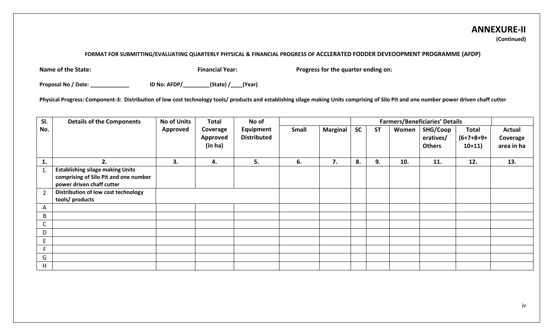## **ANNEXURE-II**

**(Continued)**

#### **FORMAT FOR SUBMITTING/EVALUATING QUARTERLY PHYSICAL & FINANCIAL PROGRESS OF ACCLERATED FODDER DEVEOOPMENT PROGRAMME (AFDP)**

**Name of the State: Financial Year:** Progress for the quarter ending on: Progress for the quarter ending on:

**Proposal No / Date: \_\_\_\_\_\_\_\_\_\_\_\_\_ ID No: AFDP/\_\_\_\_\_\_\_\_\_(State) /\_\_\_\_(Year)** 

**Physical Progress: Component-3: Distribution of low cost technology tools/ products and establishing silage making Units comprising of Silo Pit and one number power driven chaff cutter**

| SI.            | <b>Details of the Components</b>                                                                              | <b>No of Units</b> | <b>Total</b>                    | No of                           |       |                 |           | <b>Farmers/Beneficiaries' Details</b> |       |                                        |                                   |                                         |
|----------------|---------------------------------------------------------------------------------------------------------------|--------------------|---------------------------------|---------------------------------|-------|-----------------|-----------|---------------------------------------|-------|----------------------------------------|-----------------------------------|-----------------------------------------|
| No.            |                                                                                                               | Approved           | Coverage<br>Approved<br>(in ha) | Equipment<br><b>Distributed</b> | Small | <b>Marginal</b> | <b>SC</b> | <b>ST</b>                             | Women | SHG/Coop<br>eratives/<br><b>Others</b> | Total<br>$(6+7+8+9+)$<br>$10+11)$ | <b>Actual</b><br>Coverage<br>area in ha |
| 1.             | 2.                                                                                                            | 3.                 | 4.                              | 5.                              | 6.    | 7.              | 8.        | 9.                                    | 10.   | 11.                                    | 12.                               | 13.                                     |
| 1.             | <b>Establishing silage making Units</b><br>comprising of Silo Pit and one number<br>power driven chaff cutter |                    |                                 |                                 |       |                 |           |                                       |       |                                        |                                   |                                         |
| $\overline{2}$ | Distribution of low cost technology<br>tools/ products                                                        |                    |                                 |                                 |       |                 |           |                                       |       |                                        |                                   |                                         |
| A              |                                                                                                               |                    |                                 |                                 |       |                 |           |                                       |       |                                        |                                   |                                         |
| B              |                                                                                                               |                    |                                 |                                 |       |                 |           |                                       |       |                                        |                                   |                                         |
|                |                                                                                                               |                    |                                 |                                 |       |                 |           |                                       |       |                                        |                                   |                                         |
| D              |                                                                                                               |                    |                                 |                                 |       |                 |           |                                       |       |                                        |                                   |                                         |
|                |                                                                                                               |                    |                                 |                                 |       |                 |           |                                       |       |                                        |                                   |                                         |
|                |                                                                                                               |                    |                                 |                                 |       |                 |           |                                       |       |                                        |                                   |                                         |
| G              |                                                                                                               |                    |                                 |                                 |       |                 |           |                                       |       |                                        |                                   |                                         |
| H              |                                                                                                               |                    |                                 |                                 |       |                 |           |                                       |       |                                        |                                   |                                         |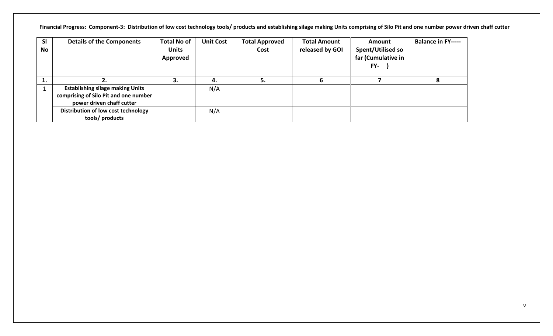**Financial Progress: Component-3: Distribution of low cost technology tools/ products and establishing silage making Units comprising of Silo Pit and one number power driven chaff cutter**

| <b>SI</b><br>No | <b>Details of the Components</b>                                                                              | <b>Total No of</b><br><b>Units</b><br>Approved | <b>Unit Cost</b> | <b>Total Approved</b><br>Cost | <b>Total Amount</b><br>released by GOI | Amount<br>Spent/Utilised so<br>far (Cumulative in<br>FY- | <b>Balance in FY-----</b> |
|-----------------|---------------------------------------------------------------------------------------------------------------|------------------------------------------------|------------------|-------------------------------|----------------------------------------|----------------------------------------------------------|---------------------------|
| л.              |                                                                                                               | з.                                             | 4.               |                               |                                        |                                                          |                           |
|                 | <b>Establishing silage making Units</b><br>comprising of Silo Pit and one number<br>power driven chaff cutter |                                                | N/A              |                               |                                        |                                                          |                           |
|                 | Distribution of low cost technology<br>tools/ products                                                        |                                                | N/A              |                               |                                        |                                                          |                           |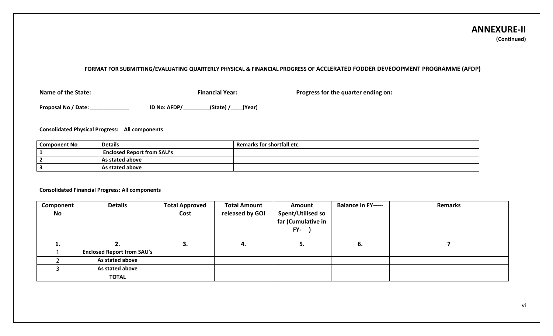#### **ANNEXURE-II (Continued)**

#### **FORMAT FOR SUBMITTING/EVALUATING QUARTERLY PHYSICAL & FINANCIAL PROGRESS OF ACCLERATED FODDER DEVEOOPMENT PROGRAMME (AFDP)**

**Name of the State: Financial Year: Progress for the quarter ending on: Progress for the quarter ending on:** 

**Proposal No / Date: \_\_\_\_\_\_\_\_\_\_\_\_\_ ID No: AFDP/\_\_\_\_\_\_\_\_\_(State) /\_\_\_\_(Year)**

**Consolidated Physical Progress: All components**

| <b>Component No</b> | <b>Details</b>                    | Remarks for shortfall etc. |
|---------------------|-----------------------------------|----------------------------|
|                     | <b>Enclosed Report from SAU's</b> |                            |
|                     | As stated above                   |                            |
|                     | As stated above                   |                            |

#### **Consolidated Financial Progress: All components**

| Component<br><b>No</b> | <b>Details</b>                    | <b>Total Approved</b><br>Cost | <b>Total Amount</b><br>released by GOI | <b>Amount</b><br><b>Spent/Utilised so</b><br>far (Cumulative in<br>FY- | <b>Balance in FY-----</b> | <b>Remarks</b> |
|------------------------|-----------------------------------|-------------------------------|----------------------------------------|------------------------------------------------------------------------|---------------------------|----------------|
| ı.                     |                                   |                               | 4.                                     |                                                                        | 6.                        |                |
|                        | <b>Enclosed Report from SAU's</b> |                               |                                        |                                                                        |                           |                |
|                        | As stated above                   |                               |                                        |                                                                        |                           |                |
|                        | As stated above                   |                               |                                        |                                                                        |                           |                |
|                        | <b>TOTAL</b>                      |                               |                                        |                                                                        |                           |                |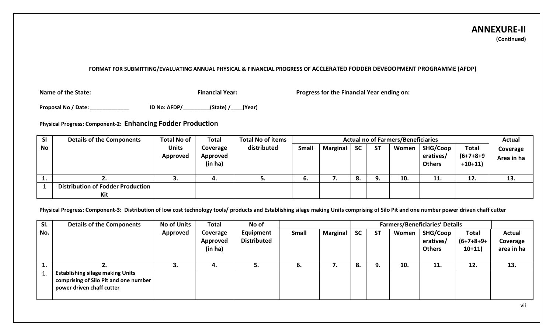#### **ANNEXURE-II (Continued)**

#### **FORMAT FOR SUBMITTING/EVALUATING ANNUAL PHYSICAL & FINANCIAL PROGRESS OF ACCLERATED FODDER DEVEOOPMENT PROGRAMME (AFDP)**

**Name of the State: Financial Year: Progress for the Financial Year ending on:**

**Proposal No / Date: \_\_\_\_\_\_\_\_\_\_\_\_\_ ID No: AFDP/\_\_\_\_\_\_\_\_\_(State) /\_\_\_\_(Year)**

**Physical Progress: Component-2: Enhancing Fodder Production**

| <b>SI</b> | <b>Details of the Components</b>         | <b>Total No of</b>       | <b>Total</b>                    | <b>Total No of items</b><br><b>Actual no of Farmers/Beneficiaries</b> |              |                 |           |           | <b>Actual</b> |                                        |                                       |                        |
|-----------|------------------------------------------|--------------------------|---------------------------------|-----------------------------------------------------------------------|--------------|-----------------|-----------|-----------|---------------|----------------------------------------|---------------------------------------|------------------------|
| <b>No</b> |                                          | <b>Units</b><br>Approved | Coverage<br>Approved<br>(in ha) | distributed                                                           | <b>Small</b> | <b>Marginal</b> | <b>SC</b> | <b>ST</b> | Women         | SHG/Coop<br>eratives/<br><b>Others</b> | <b>Total</b><br>(6+7+8+9<br>$+10+11)$ | Coverage<br>Area in ha |
|           | ـ.                                       |                          | 4.                              | J.                                                                    | o.           |                 | 8.        | 9.        | 10.           | 11.                                    | 12.                                   | 13.                    |
|           | <b>Distribution of Fodder Production</b> |                          |                                 |                                                                       |              |                 |           |           |               |                                        |                                       |                        |
|           | Kit                                      |                          |                                 |                                                                       |              |                 |           |           |               |                                        |                                       |                        |

**Physical Progress: Component-3: Distribution of low cost technology tools/ products and Establishing silage making Units comprising of Silo Pit and one number power driven chaff cutter**

| SI.      | <b>Details of the Components</b>                                                                              | <b>No of Units</b> | <b>Total</b>                    | No of                           |       |          |           |           |       | <b>Farmers/Beneficiaries' Details</b>         |                                          |                                         |
|----------|---------------------------------------------------------------------------------------------------------------|--------------------|---------------------------------|---------------------------------|-------|----------|-----------|-----------|-------|-----------------------------------------------|------------------------------------------|-----------------------------------------|
| No.      |                                                                                                               | Approved           | Coverage<br>Approved<br>(in ha) | Equipment<br><b>Distributed</b> | Small | Marginal | <b>SC</b> | <b>ST</b> | Women | <b>SHG/Coop</b><br>eratives/<br><b>Others</b> | <b>Total</b><br>$(6+7+8+9+)$<br>$10+11)$ | <b>Actual</b><br>Coverage<br>area in ha |
| <b>.</b> |                                                                                                               |                    | 4.                              | э.                              | ь.    |          | 8.        | 9.        | 10.   | 11.                                           | 12.                                      | 13.                                     |
|          | <b>Establishing silage making Units</b><br>comprising of Silo Pit and one number<br>power driven chaff cutter |                    |                                 |                                 |       |          |           |           |       |                                               |                                          |                                         |